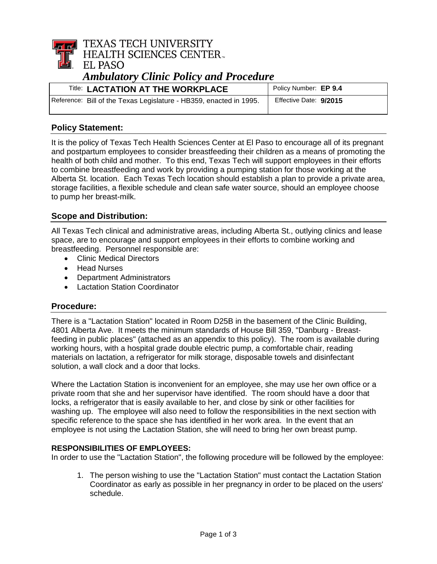

| <b>Title: LACTATION AT THE WORKPLACE</b>                           | Policy Number: EP 9.4  |
|--------------------------------------------------------------------|------------------------|
| Reference: Bill of the Texas Legislature - HB359, enacted in 1995. | Effective Date: 9/2015 |

### **Policy Statement:**

It is the policy of Texas Tech Health Sciences Center at El Paso to encourage all of its pregnant and postpartum employees to consider breastfeeding their children as a means of promoting the health of both child and mother. To this end, Texas Tech will support employees in their efforts to combine breastfeeding and work by providing a pumping station for those working at the Alberta St. location. Each Texas Tech location should establish a plan to provide a private area, storage facilities, a flexible schedule and clean safe water source, should an employee choose to pump her breast-milk.

### **Scope and Distribution:**

All Texas Tech clinical and administrative areas, including Alberta St., outlying clinics and lease space, are to encourage and support employees in their efforts to combine working and breastfeeding. Personnel responsible are:

- Clinic Medical Directors
- Head Nurses
- Department Administrators
- Lactation Station Coordinator

### **Procedure:**

There is a "Lactation Station" located in Room D25B in the basement of the Clinic Building, 4801 Alberta Ave. It meets the minimum standards of House Bill 359, "Danburg - Breastfeeding in public places" (attached as an appendix to this policy). The room is available during working hours, with a hospital grade double electric pump, a comfortable chair, reading materials on lactation, a refrigerator for milk storage, disposable towels and disinfectant solution, a wall clock and a door that locks.

Where the Lactation Station is inconvenient for an employee, she may use her own office or a private room that she and her supervisor have identified. The room should have a door that locks, a refrigerator that is easily available to her, and close by sink or other facilities for washing up. The employee will also need to follow the responsibilities in the next section with specific reference to the space she has identified in her work area. In the event that an employee is not using the Lactation Station, she will need to bring her own breast pump.

### **RESPONSIBILITIES OF EMPLOYEES:**

In order to use the "Lactation Station", the following procedure will be followed by the employee:

1. The person wishing to use the "Lactation Station" must contact the Lactation Station Coordinator as early as possible in her pregnancy in order to be placed on the users' schedule.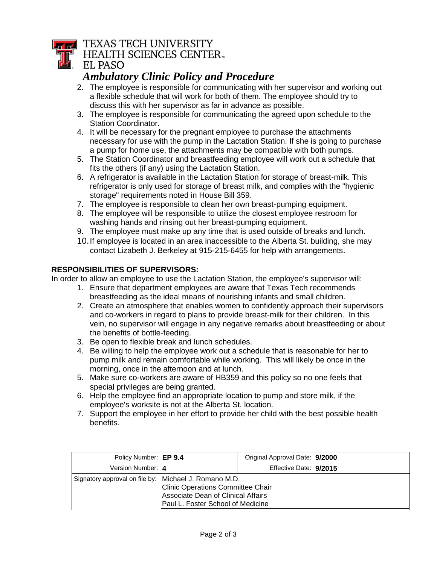# **TEXAS TECH UNIVERSITY**

**HEALTH SCIENCES CENTER.** 

### **EL PASO**

## *Ambulatory Clinic Policy and Procedure*

- 2. The employee is responsible for communicating with her supervisor and working out a flexible schedule that will work for both of them. The employee should try to discuss this with her supervisor as far in advance as possible.
- 3. The employee is responsible for communicating the agreed upon schedule to the Station Coordinator.
- 4. It will be necessary for the pregnant employee to purchase the attachments necessary for use with the pump in the Lactation Station. If she is going to purchase a pump for home use, the attachments may be compatible with both pumps.
- 5. The Station Coordinator and breastfeeding employee will work out a schedule that fits the others (if any) using the Lactation Station.
- 6. A refrigerator is available in the Lactation Station for storage of breast-milk. This refrigerator is only used for storage of breast milk, and complies with the "hygienic storage" requirements noted in House Bill 359.
- 7. The employee is responsible to clean her own breast-pumping equipment.
- 8. The employee will be responsible to utilize the closest employee restroom for washing hands and rinsing out her breast-pumping equipment.
- 9. The employee must make up any time that is used outside of breaks and lunch.
- 10.If employee is located in an area inaccessible to the Alberta St. building, she may contact Lizabeth J. Berkeley at 915-215-6455 for help with arrangements.

### **RESPONSIBILITIES OF SUPERVISORS:**

In order to allow an employee to use the Lactation Station, the employee's supervisor will:

- 1. Ensure that department employees are aware that Texas Tech recommends breastfeeding as the ideal means of nourishing infants and small children.
- 2. Create an atmosphere that enables women to confidently approach their supervisors and co-workers in regard to plans to provide breast-milk for their children. In this vein, no supervisor will engage in any negative remarks about breastfeeding or about the benefits of bottle-feeding.
- 3. Be open to flexible break and lunch schedules.
- 4. Be willing to help the employee work out a schedule that is reasonable for her to pump milk and remain comfortable while working. This will likely be once in the morning, once in the afternoon and at lunch.
- 5. Make sure co-workers are aware of HB359 and this policy so no one feels that special privileges are being granted.
- 6. Help the employee find an appropriate location to pump and store milk, if the employee's worksite is not at the Alberta St. location.
- 7. Support the employee in her effort to provide her child with the best possible health benefits.

| Policy Number: EP 9.4                                                                                                                                                        |  | Original Approval Date: 9/2000 |  |  |
|------------------------------------------------------------------------------------------------------------------------------------------------------------------------------|--|--------------------------------|--|--|
| Version Number: 4                                                                                                                                                            |  | Effective Date: 9/2015         |  |  |
| Signatory approval on file by: Michael J. Romano M.D.<br><b>Clinic Operations Committee Chair</b><br>Associate Dean of Clinical Affairs<br>Paul L. Foster School of Medicine |  |                                |  |  |